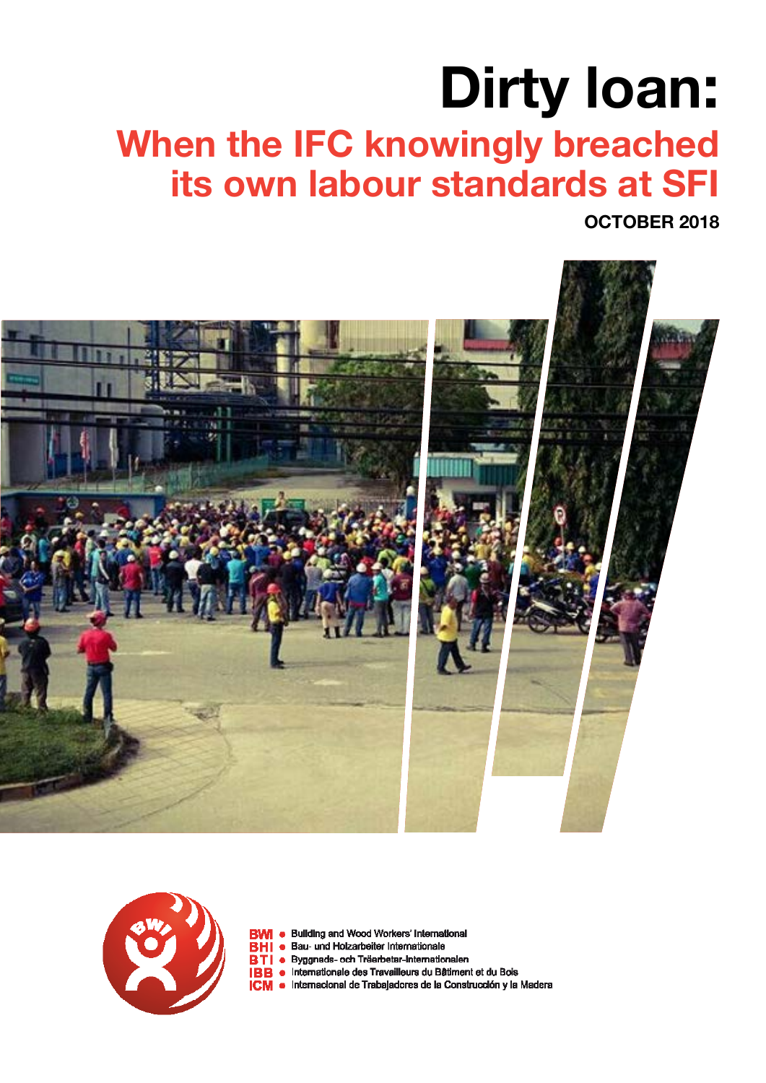# **Dirty loan: When the IFC knowingly breached its own labour standards at SFI**

**OCTOBER 2018**





- **BWI** . Building and Wood Workers' International
- BHI . Bau- und Holzarbeiter Internationale
- BTI · Byggnads- och Träarbetar-Internationalen
- **IBB** . Internationale des Travailleurs du Bâtiment et du Bois
- ICM · Internacional de Trabajadores de la Construcción y la Madera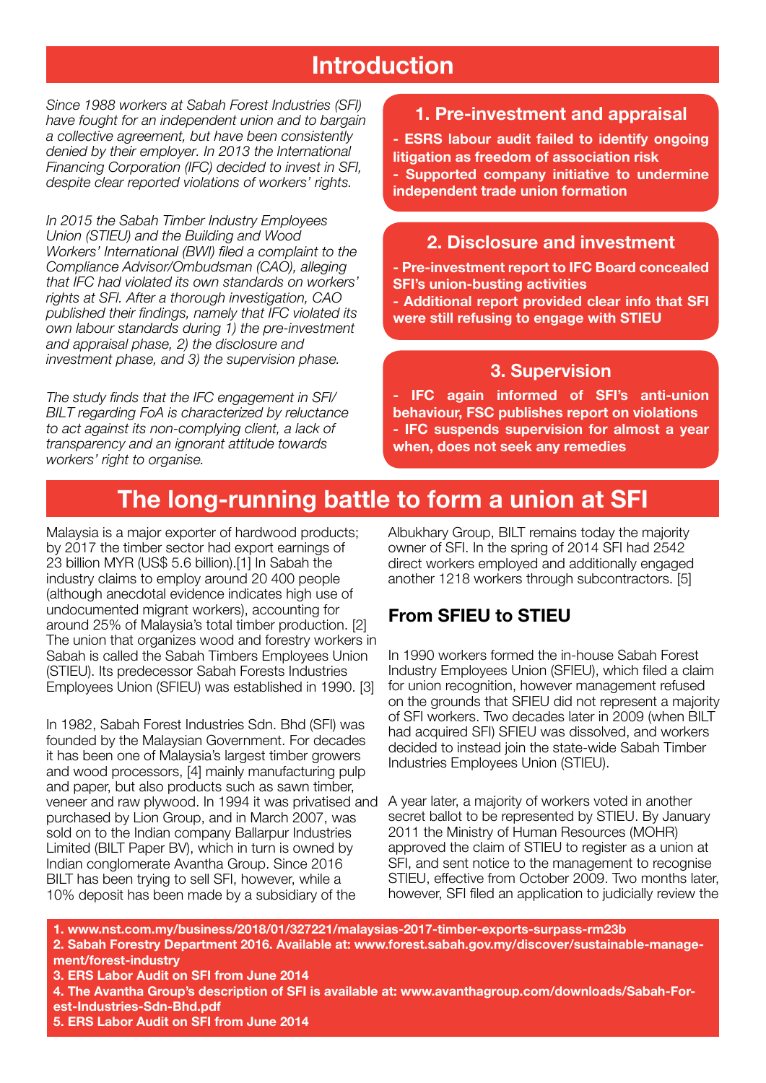## **Introduction**

*Since 1988 workers at Sabah Forest Industries (SFI) have fought for an independent union and to bargain a collective agreement, but have been consistently denied by their employer. In 2013 the International Financing Corporation (IFC) decided to invest in SFI, despite clear reported violations of workers' rights.*

*In 2015 the Sabah Timber Industry Employees Union (STIEU) and the Building and Wood Workers' International (BWI) filed a complaint to the Compliance Advisor/Ombudsman (CAO), alleging that IFC had violated its own standards on workers' rights at SFI. After a thorough investigation, CAO published their findings, namely that IFC violated its own labour standards during 1) the pre-investment and appraisal phase, 2) the disclosure and investment phase, and 3) the supervision phase.* 

*The study finds that the IFC engagement in SFI/ BILT regarding FoA is characterized by reluctance to act against its non-complying client, a lack of transparency and an ignorant attitude towards workers' right to organise.* 

#### **1. Pre-investment and appraisal**

**- ESRS labour audit failed to identify ongoing litigation as freedom of association risk - Supported company initiative to undermine independent trade union formation**

#### **2. Disclosure and investment**

**- Pre-investment report to IFC Board concealed SFI's union-busting activities**

**- Additional report provided clear info that SFI were still refusing to engage with STIEU**

#### **3. Supervision**

**- IFC again informed of SFI's anti-union behaviour, FSC publishes report on violations - IFC suspends supervision for almost a year when, does not seek any remedies**

## **The long-running battle to form a union at SFI**

Malaysia is a major exporter of hardwood products; by 2017 the timber sector had export earnings of 23 billion MYR (US\$ 5.6 billion).[1] In Sabah the industry claims to employ around 20 400 people (although anecdotal evidence indicates high use of undocumented migrant workers), accounting for around 25% of Malaysia's total timber production. [2] The union that organizes wood and forestry workers in Sabah is called the Sabah Timbers Employees Union (STIEU). Its predecessor Sabah Forests Industries Employees Union (SFIEU) was established in 1990. [3]

In 1982, Sabah Forest Industries Sdn. Bhd (SFI) was founded by the Malaysian Government. For decades it has been one of Malaysia's largest timber growers and wood processors, [4] mainly manufacturing pulp and paper, but also products such as sawn timber, veneer and raw plywood. In 1994 it was privatised and purchased by Lion Group, and in March 2007, was sold on to the Indian company Ballarpur Industries Limited (BILT Paper BV), which in turn is owned by Indian conglomerate Avantha Group. Since 2016 BILT has been trying to sell SFI, however, while a 10% deposit has been made by a subsidiary of the

Albukhary Group, BILT remains today the majority owner of SFI. In the spring of 2014 SFI had 2542 direct workers employed and additionally engaged another 1218 workers through subcontractors. [5]

#### **From SFIEU to STIEU**

In 1990 workers formed the in-house Sabah Forest Industry Employees Union (SFIEU), which filed a claim for union recognition, however management refused on the grounds that SFIEU did not represent a majority of SFI workers. Two decades later in 2009 (when BILT had acquired SFI) SFIEU was dissolved, and workers decided to instead join the state-wide Sabah Timber Industries Employees Union (STIEU).

A year later, a majority of workers voted in another secret ballot to be represented by STIEU. By January 2011 the Ministry of Human Resources (MOHR) approved the claim of STIEU to register as a union at SFI, and sent notice to the management to recognise STIEU, effective from October 2009. Two months later, however, SFI filed an application to judicially review the

**1. www.nst.com.my/business/2018/01/327221/malaysias-2017-timber-exports-surpass-rm23b 2. Sabah Forestry Department 2016. Available at: www.forest.sabah.gov.my/discover/sustainable-management/forest-industry 3. ERS Labor Audit on SFI from June 2014 4. The Avantha Group's description of SFI is available at: www.avanthagroup.com/downloads/Sabah-Forest-Industries-Sdn-Bhd.pdf 5. ERS Labor Audit on SFI from June 2014**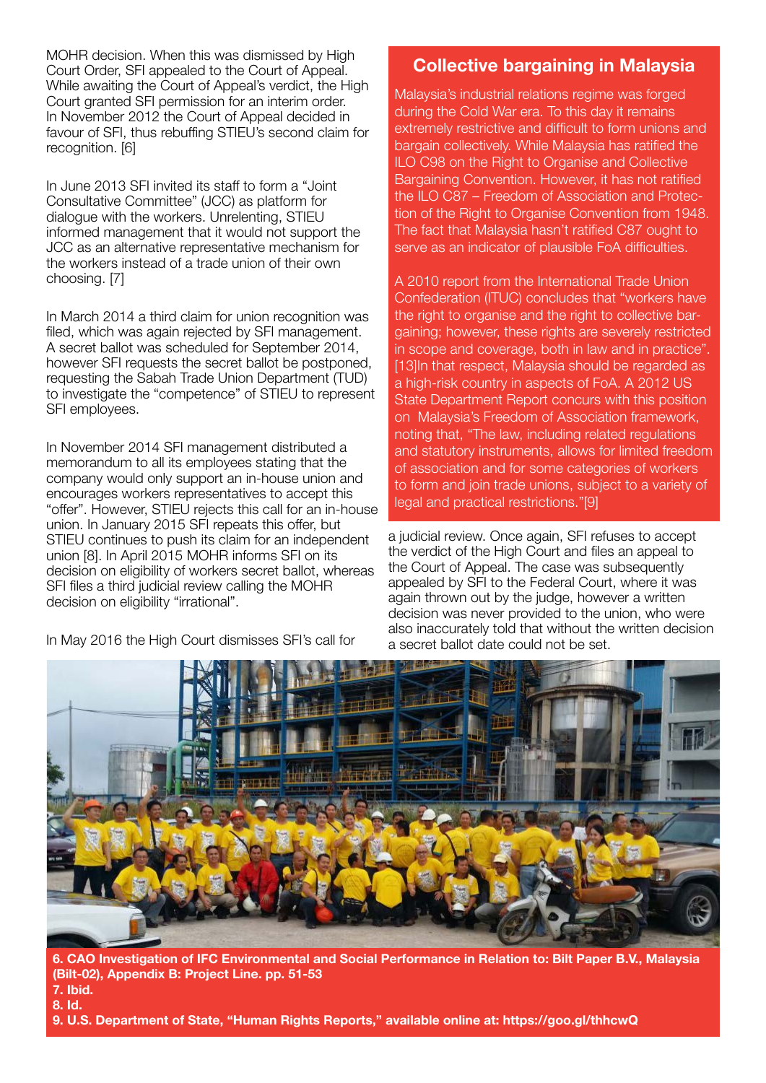MOHR decision. When this was dismissed by High Court Order, SFI appealed to the Court of Appeal. While awaiting the Court of Appeal's verdict, the High Court granted SFI permission for an interim order. In November 2012 the Court of Appeal decided in favour of SFI, thus rebuffing STIEU's second claim for recognition. [6]

In June 2013 SFI invited its staff to form a "Joint Consultative Committee" (JCC) as platform for dialogue with the workers. Unrelenting, STIEU informed management that it would not support the JCC as an alternative representative mechanism for the workers instead of a trade union of their own choosing. [7]

In March 2014 a third claim for union recognition was filed, which was again rejected by SFI management. A secret ballot was scheduled for September 2014, however SFI requests the secret ballot be postponed, requesting the Sabah Trade Union Department (TUD) to investigate the "competence" of STIEU to represent SFI employees.

In November 2014 SFI management distributed a memorandum to all its employees stating that the company would only support an in-house union and encourages workers representatives to accept this "offer". However, STIEU rejects this call for an in-house union. In January 2015 SFI repeats this offer, but STIEU continues to push its claim for an independent union [8]. In April 2015 MOHR informs SFI on its decision on eligibility of workers secret ballot, whereas SFI files a third judicial review calling the MOHR decision on eligibility "irrational".

In May 2016 the High Court dismisses SFI's call for

### **Collective bargaining in Malaysia**

Malaysia's industrial relations regime was forged during the Cold War era. To this day it remains extremely restrictive and difficult to form unions and bargain collectively. While Malaysia has ratified the ILO C98 on the Right to Organise and Collective Bargaining Convention. However, it has not ratified the ILO C87 – Freedom of Association and Protection of the Right to Organise Convention from 1948. The fact that Malaysia hasn't ratified C87 ought to serve as an indicator of plausible FoA difficulties.

A 2010 report from the International Trade Union Confederation (ITUC) concludes that "workers have the right to organise and the right to collective bargaining; however, these rights are severely restricted in scope and coverage, both in law and in practice". [13]In that respect, Malaysia should be regarded as a high-risk country in aspects of FoA. A 2012 US State Department Report concurs with this position on Malaysia's Freedom of Association framework, noting that, "The law, including related regulations and statutory instruments, allows for limited freedom of association and for some categories of workers to form and join trade unions, subject to a variety of legal and practical restrictions."[9]

a judicial review. Once again, SFI refuses to accept the verdict of the High Court and files an appeal to the Court of Appeal. The case was subsequently appealed by SFI to the Federal Court, where it was again thrown out by the judge, however a written decision was never provided to the union, who were also inaccurately told that without the written decision a secret ballot date could not be set.



**6. CAO Investigation of IFC Environmental and Social Performance in Relation to: Bilt Paper B.V., Malaysia (Bilt-02), Appendix B: Project Line. pp. 51-53 7. Ibid. 8. Id.**

**9. U.S. Department of State, "Human Rights Reports," available online at: https://goo.gl/thhcwQ**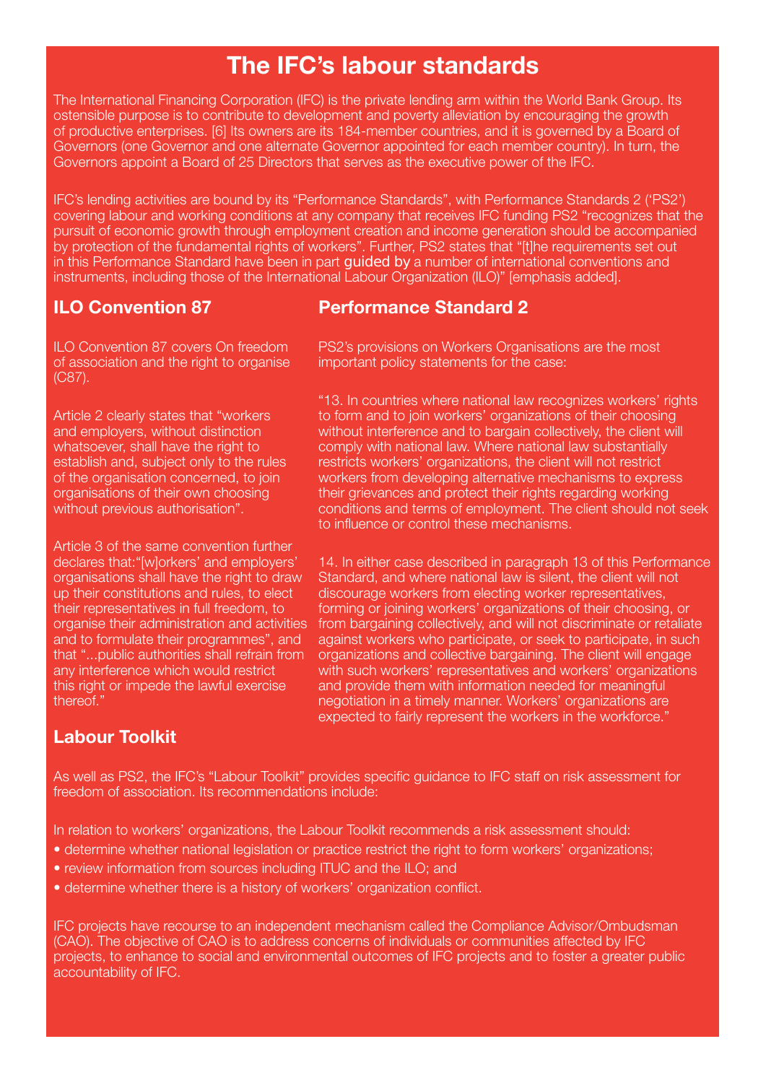## **The IFC's labour standards**

The International Financing Corporation (IFC) is the private lending arm within the World Bank Group. Its ostensible purpose is to contribute to development and poverty alleviation by encouraging the growth of productive enterprises. [6] Its owners are its 184-member countries, and it is governed by a Board of Governors (one Governor and one alternate Governor appointed for each member country). In turn, the Governors appoint a Board of 25 Directors that serves as the executive power of the IFC.

IFC's lending activities are bound by its "Performance Standards", with Performance Standards 2 ('PS2') covering labour and working conditions at any company that receives IFC funding PS2 "recognizes that the pursuit of economic growth through employment creation and income generation should be accompanied by protection of the fundamental rights of workers". Further, PS2 states that "[t]he requirements set out in this Performance Standard have been in part **guided by** a number of international conventions and instruments, including those of the International Labour Organization (ILO)" [emphasis added].

#### **ILO Convention 87**

#### **Performance Standard 2**

ILO Convention 87 covers On freedom of association and the right to organise (C87).

Article 2 clearly states that "workers and employers, without distinction whatsoever, shall have the right to establish and, subject only to the rules of the organisation concerned, to join organisations of their own choosing without previous authorisation".

Article 3 of the same convention further declares that:"[w]orkers' and employers' organisations shall have the right to draw up their constitutions and rules, to elect their representatives in full freedom, to organise their administration and activities and to formulate their programmes", and that "...public authorities shall refrain from any interference which would restrict this right or impede the lawful exercise thereof."

PS2's provisions on Workers Organisations are the most important policy statements for the case:

"13. In countries where national law recognizes workers' rights to form and to join workers' organizations of their choosing without interference and to bargain collectively, the client will comply with national law. Where national law substantially restricts workers' organizations, the client will not restrict workers from developing alternative mechanisms to express their grievances and protect their rights regarding working conditions and terms of employment. The client should not seek to influence or control these mechanisms.

14. In either case described in paragraph 13 of this Performance Standard, and where national law is silent, the client will not discourage workers from electing worker representatives, forming or joining workers' organizations of their choosing, or from bargaining collectively, and will not discriminate or retaliate against workers who participate, or seek to participate, in such organizations and collective bargaining. The client will engage with such workers' representatives and workers' organizations and provide them with information needed for meaningful negotiation in a timely manner. Workers' organizations are expected to fairly represent the workers in the workforce."

#### **Labour Toolkit**

As well as PS2, the IFC's "Labour Toolkit" provides specific guidance to IFC staff on risk assessment for freedom of association. Its recommendations include:

In relation to workers' organizations, the Labour Toolkit recommends a risk assessment should:

- determine whether national legislation or practice restrict the right to form workers' organizations;
- review information from sources including ITUC and the ILO; and
- determine whether there is a history of workers' organization conflict.

IFC projects have recourse to an independent mechanism called the Compliance Advisor/Ombudsman (CAO). The objective of CAO is to address concerns of individuals or communities affected by IFC projects, to enhance to social and environmental outcomes of IFC projects and to foster a greater public accountability of IFC.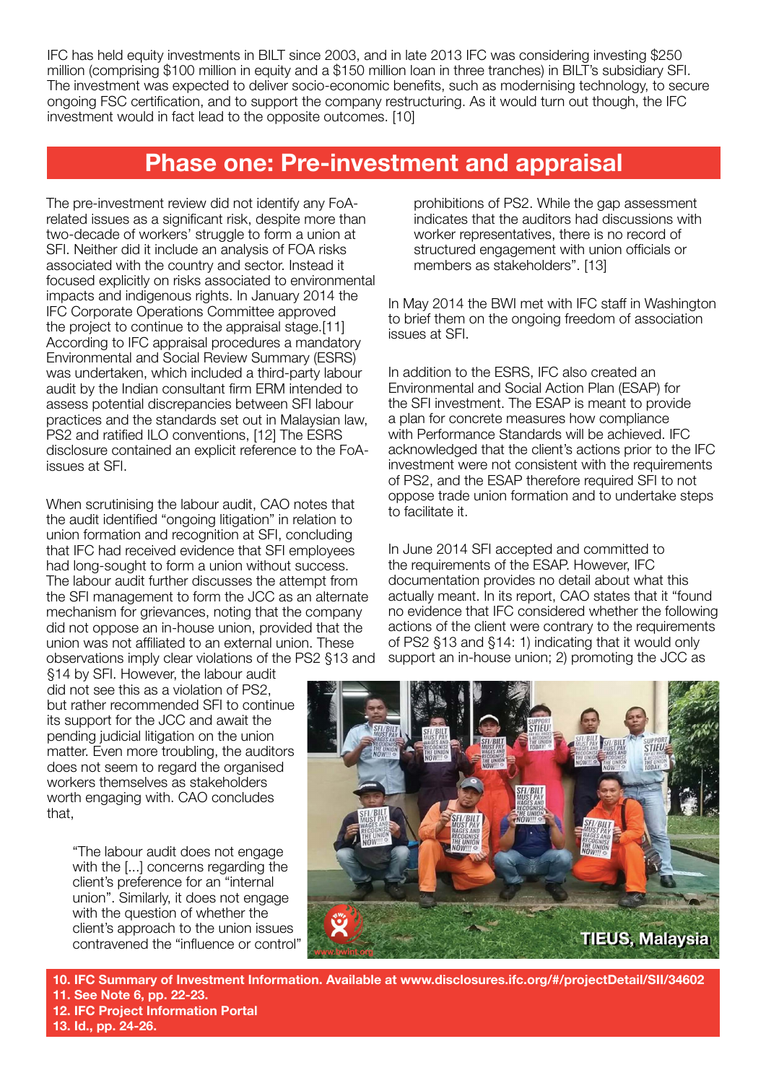IFC has held equity investments in BILT since 2003, and in late 2013 IFC was considering investing \$250 million (comprising \$100 million in equity and a \$150 million loan in three tranches) in BILT's subsidiary SFI. The investment was expected to deliver socio-economic benefits, such as modernising technology, to secure ongoing FSC certification, and to support the company restructuring. As it would turn out though, the IFC investment would in fact lead to the opposite outcomes. [10]

## **Phase one: Pre-investment and appraisal**

The pre-investment review did not identify any FoArelated issues as a significant risk, despite more than two-decade of workers' struggle to form a union at SFI. Neither did it include an analysis of FOA risks associated with the country and sector. Instead it focused explicitly on risks associated to environmental impacts and indigenous rights. In January 2014 the IFC Corporate Operations Committee approved the project to continue to the appraisal stage.[11] According to IFC appraisal procedures a mandatory Environmental and Social Review Summary (ESRS) was undertaken, which included a third-party labour audit by the Indian consultant firm ERM intended to assess potential discrepancies between SFI labour practices and the standards set out in Malaysian law, PS2 and ratified ILO conventions, [12] The ESRS disclosure contained an explicit reference to the FoAissues at SFI.

When scrutinising the labour audit, CAO notes that the audit identified "ongoing litigation" in relation to union formation and recognition at SFI, concluding that IFC had received evidence that SFI employees had long-sought to form a union without success. The labour audit further discusses the attempt from the SFI management to form the JCC as an alternate mechanism for grievances, noting that the company did not oppose an in-house union, provided that the union was not affiliated to an external union. These observations imply clear violations of the PS2 §13 and

§14 by SFI. However, the labour audit did not see this as a violation of PS2, but rather recommended SFI to continue its support for the JCC and await the pending judicial litigation on the union matter. Even more troubling, the auditors does not seem to regard the organised workers themselves as stakeholders worth engaging with. CAO concludes that,

"The labour audit does not engage with the [...] concerns regarding the client's preference for an "internal union". Similarly, it does not engage with the question of whether the client's approach to the union issues contravened the "influence or control" prohibitions of PS2. While the gap assessment indicates that the auditors had discussions with worker representatives, there is no record of structured engagement with union officials or members as stakeholders". [13]

In May 2014 the BWI met with IFC staff in Washington to brief them on the ongoing freedom of association issues at SFI.

In addition to the ESRS, IFC also created an Environmental and Social Action Plan (ESAP) for the SFI investment. The ESAP is meant to provide a plan for concrete measures how compliance with Performance Standards will be achieved. IFC acknowledged that the client's actions prior to the IFC investment were not consistent with the requirements of PS2, and the ESAP therefore required SFI to not oppose trade union formation and to undertake steps to facilitate it.

In June 2014 SFI accepted and committed to the requirements of the ESAP. However, IFC documentation provides no detail about what this actually meant. In its report, CAO states that it "found no evidence that IFC considered whether the following actions of the client were contrary to the requirements of PS2 §13 and §14: 1) indicating that it would only support an in-house union; 2) promoting the JCC as



**10. IFC Summary of Investment Information. Available at www.disclosures.ifc.org/#/projectDetail/SII/34602 11. See Note 6, pp. 22-23.**

- **12. IFC Project Information Portal**
- **13. Id., pp. 24-26.**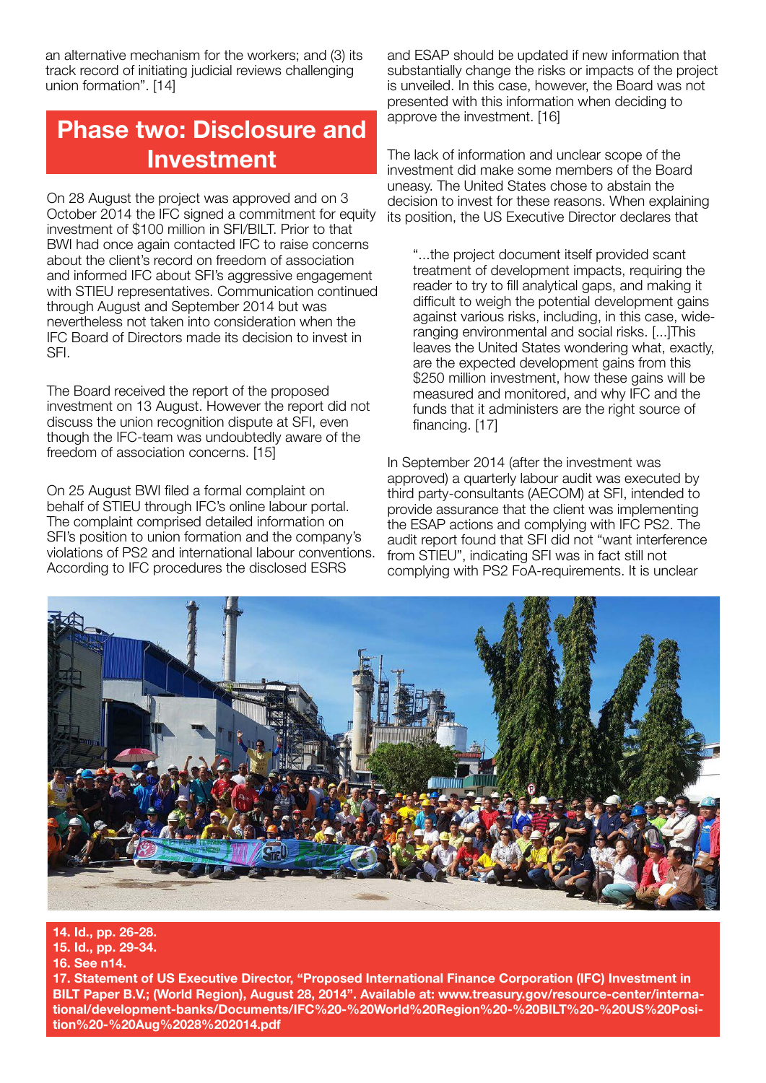an alternative mechanism for the workers; and (3) its track record of initiating judicial reviews challenging union formation". [14]

# **Phase two: Disclosure and Investment**

On 28 August the project was approved and on 3 October 2014 the IFC signed a commitment for equity investment of \$100 million in SFI/BILT. Prior to that BWI had once again contacted IFC to raise concerns about the client's record on freedom of association and informed IFC about SFI's aggressive engagement with STIEU representatives. Communication continued through August and September 2014 but was nevertheless not taken into consideration when the IFC Board of Directors made its decision to invest in SFI.

The Board received the report of the proposed investment on 13 August. However the report did not discuss the union recognition dispute at SFI, even though the IFC-team was undoubtedly aware of the freedom of association concerns. [15]

On 25 August BWI filed a formal complaint on behalf of STIEU through IFC's online labour portal. The complaint comprised detailed information on SFI's position to union formation and the company's violations of PS2 and international labour conventions. According to IFC procedures the disclosed ESRS

and ESAP should be updated if new information that substantially change the risks or impacts of the project is unveiled. In this case, however, the Board was not presented with this information when deciding to approve the investment. [16]

The lack of information and unclear scope of the investment did make some members of the Board uneasy. The United States chose to abstain the decision to invest for these reasons. When explaining its position, the US Executive Director declares that

"...the project document itself provided scant treatment of development impacts, requiring the reader to try to fill analytical gaps, and making it difficult to weigh the potential development gains against various risks, including, in this case, wideranging environmental and social risks. [...]This leaves the United States wondering what, exactly, are the expected development gains from this \$250 million investment, how these gains will be measured and monitored, and why IFC and the funds that it administers are the right source of financing. [17]

In September 2014 (after the investment was approved) a quarterly labour audit was executed by third party-consultants (AECOM) at SFI, intended to provide assurance that the client was implementing the ESAP actions and complying with IFC PS2. The audit report found that SFI did not "want interference from STIEU", indicating SFI was in fact still not complying with PS2 FoA-requirements. It is unclear



#### **14. Id., pp. 26-28.**

**15. Id., pp. 29-34.**

#### **16. See n14.**

**17. Statement of US Executive Director, "Proposed International Finance Corporation (IFC) Investment in BILT Paper B.V.; (World Region), August 28, 2014". Available at: www.treasury.gov/resource-center/international/development-banks/Documents/IFC%20-%20World%20Region%20-%20BILT%20-%20US%20Position%20-%20Aug%2028%202014.pdf**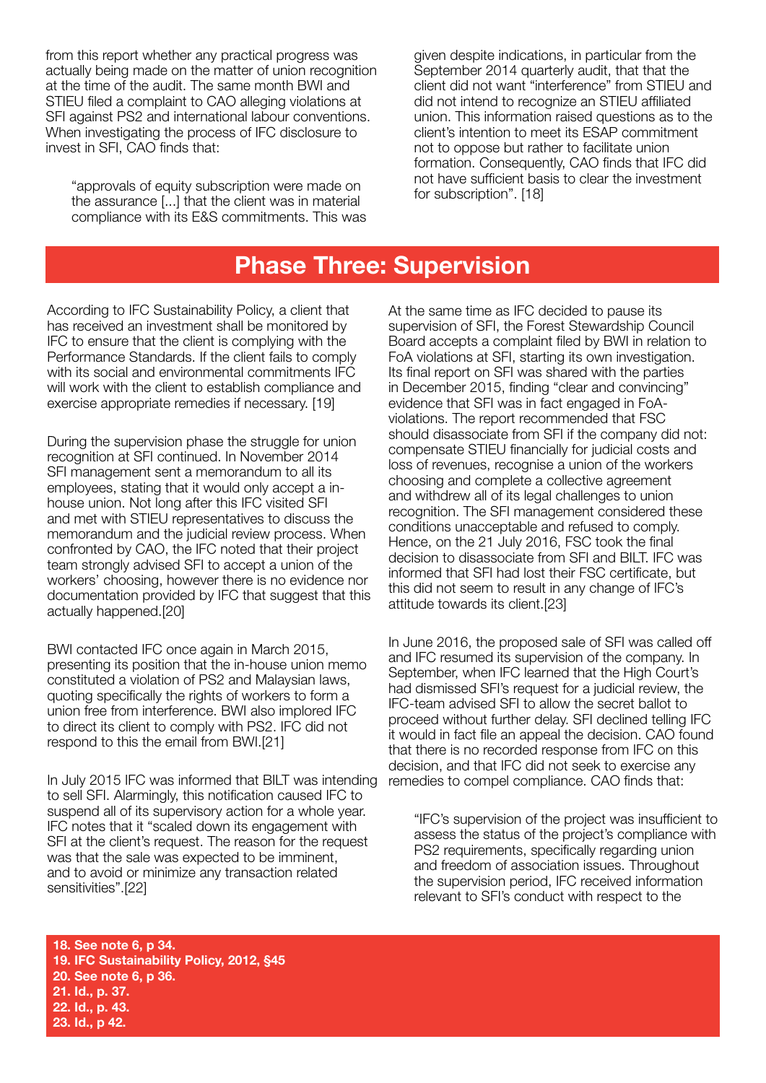from this report whether any practical progress was actually being made on the matter of union recognition at the time of the audit. The same month BWI and STIEU filed a complaint to CAO alleging violations at SFI against PS2 and international labour conventions. When investigating the process of IFC disclosure to invest in SFI, CAO finds that:

"approvals of equity subscription were made on the assurance [...] that the client was in material compliance with its E&S commitments. This was given despite indications, in particular from the September 2014 quarterly audit, that that the client did not want "interference" from STIEU and did not intend to recognize an STIEU affiliated union. This information raised questions as to the client's intention to meet its ESAP commitment not to oppose but rather to facilitate union formation. Consequently, CAO finds that IFC did not have sufficient basis to clear the investment for subscription". [18]

## **Phase Three: Supervision**

According to IFC Sustainability Policy, a client that has received an investment shall be monitored by IFC to ensure that the client is complying with the Performance Standards. If the client fails to comply with its social and environmental commitments IFC will work with the client to establish compliance and exercise appropriate remedies if necessary. [19]

During the supervision phase the struggle for union recognition at SFI continued. In November 2014 SFI management sent a memorandum to all its employees, stating that it would only accept a inhouse union. Not long after this IFC visited SFI and met with STIEU representatives to discuss the memorandum and the judicial review process. When confronted by CAO, the IFC noted that their project team strongly advised SFI to accept a union of the workers' choosing, however there is no evidence nor documentation provided by IFC that suggest that this actually happened.[20]

BWI contacted IFC once again in March 2015, presenting its position that the in-house union memo constituted a violation of PS2 and Malaysian laws, quoting specifically the rights of workers to form a union free from interference. BWI also implored IFC to direct its client to comply with PS2. IFC did not respond to this the email from BWI.[21]

In July 2015 IFC was informed that BILT was intending to sell SFI. Alarmingly, this notification caused IFC to suspend all of its supervisory action for a whole year. IFC notes that it "scaled down its engagement with SFI at the client's request. The reason for the request was that the sale was expected to be imminent, and to avoid or minimize any transaction related sensitivities".[22]

At the same time as IFC decided to pause its supervision of SFI, the Forest Stewardship Council Board accepts a complaint filed by BWI in relation to FoA violations at SFI, starting its own investigation. Its final report on SFI was shared with the parties in December 2015, finding "clear and convincing" evidence that SFI was in fact engaged in FoAviolations. The report recommended that FSC should disassociate from SFI if the company did not: compensate STIEU financially for judicial costs and loss of revenues, recognise a union of the workers choosing and complete a collective agreement and withdrew all of its legal challenges to union recognition. The SFI management considered these conditions unacceptable and refused to comply. Hence, on the 21 July 2016, FSC took the final decision to disassociate from SFI and BILT. IFC was informed that SFI had lost their FSC certificate, but this did not seem to result in any change of IFC's attitude towards its client.[23]

In June 2016, the proposed sale of SFI was called off and IFC resumed its supervision of the company. In September, when IFC learned that the High Court's had dismissed SFI's request for a judicial review, the IFC-team advised SFI to allow the secret ballot to proceed without further delay. SFI declined telling IFC it would in fact file an appeal the decision. CAO found that there is no recorded response from IFC on this decision, and that IFC did not seek to exercise any remedies to compel compliance. CAO finds that:

"IFC's supervision of the project was insufficient to assess the status of the project's compliance with PS2 requirements, specifically regarding union and freedom of association issues. Throughout the supervision period, IFC received information relevant to SFI's conduct with respect to the

**18. See note 6, p 34. 19. IFC Sustainability Policy, 2012, §45 20. See note 6, p 36. 21. Id., p. 37. 22. Id., p. 43. 23. Id., p 42.**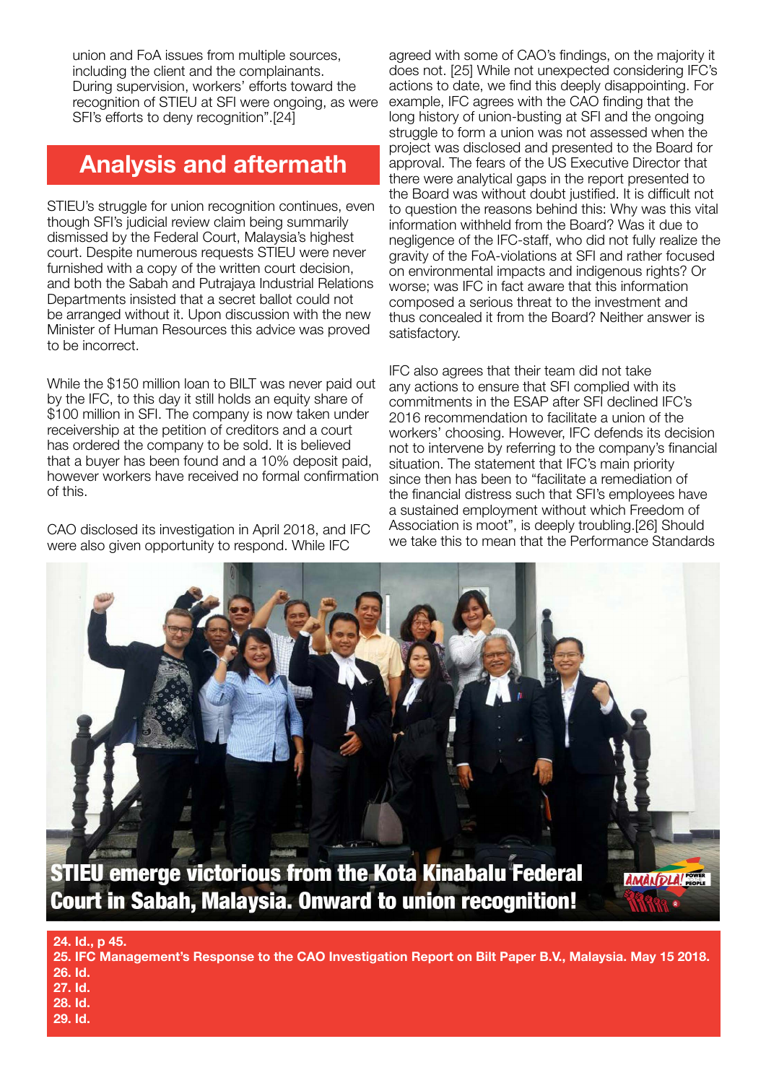union and FoA issues from multiple sources, including the client and the complainants. During supervision, workers' efforts toward the recognition of STIEU at SFI were ongoing, as were SFI's efforts to deny recognition".[24]

# **Analysis and aftermath**

STIEU's struggle for union recognition continues, even though SFI's judicial review claim being summarily dismissed by the Federal Court, Malaysia's highest court. Despite numerous requests STIEU were never furnished with a copy of the written court decision, and both the Sabah and Putrajaya Industrial Relations Departments insisted that a secret ballot could not be arranged without it. Upon discussion with the new Minister of Human Resources this advice was proved to be incorrect.

While the \$150 million loan to BILT was never paid out by the IFC, to this day it still holds an equity share of \$100 million in SFI. The company is now taken under receivership at the petition of creditors and a court has ordered the company to be sold. It is believed that a buyer has been found and a 10% deposit paid, however workers have received no formal confirmation of this.

CAO disclosed its investigation in April 2018, and IFC were also given opportunity to respond. While IFC

agreed with some of CAO's findings, on the majority it does not. [25] While not unexpected considering IFC's actions to date, we find this deeply disappointing. For example, IFC agrees with the CAO finding that the long history of union-busting at SFI and the ongoing struggle to form a union was not assessed when the project was disclosed and presented to the Board for approval. The fears of the US Executive Director that there were analytical gaps in the report presented to the Board was without doubt justified. It is difficult not to question the reasons behind this: Why was this vital information withheld from the Board? Was it due to negligence of the IFC-staff, who did not fully realize the gravity of the FoA-violations at SFI and rather focused on environmental impacts and indigenous rights? Or worse; was IFC in fact aware that this information composed a serious threat to the investment and thus concealed it from the Board? Neither answer is satisfactory.

IFC also agrees that their team did not take any actions to ensure that SFI complied with its commitments in the ESAP after SFI declined IFC's 2016 recommendation to facilitate a union of the workers' choosing. However, IFC defends its decision not to intervene by referring to the company's financial situation. The statement that IFC's main priority since then has been to "facilitate a remediation of the financial distress such that SFI's employees have a sustained employment without which Freedom of Association is moot", is deeply troubling.[26] Should we take this to mean that the Performance Standards

![](_page_7_Picture_7.jpeg)

**Court in Sabah, Malaysia. Onward to union recognition!** 

**24. Id., p 45.**

**29. Id.**

**25. IFC Management's Response to the CAO Investigation Report on Bilt Paper B.V., Malaysia. May 15 2018. 26. Id. 27. Id. 28. Id.**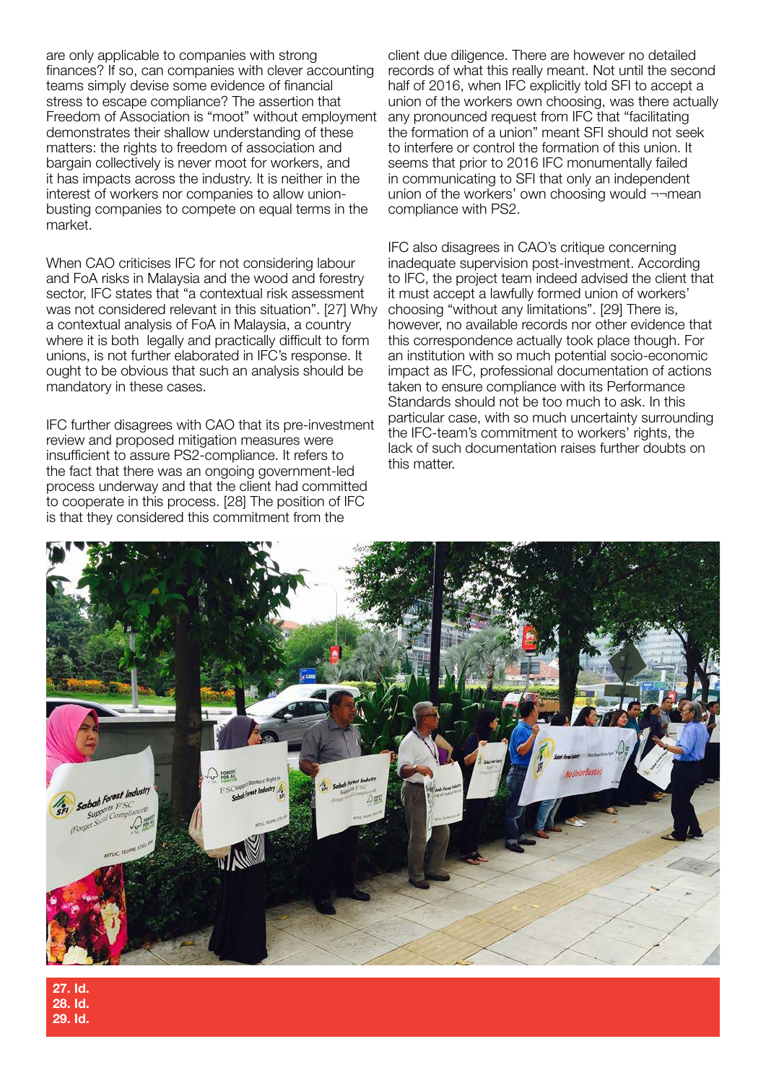are only applicable to companies with strong finances? If so, can companies with clever accounting teams simply devise some evidence of financial stress to escape compliance? The assertion that Freedom of Association is "moot" without employment demonstrates their shallow understanding of these matters: the rights to freedom of association and bargain collectively is never moot for workers, and it has impacts across the industry. It is neither in the interest of workers nor companies to allow unionbusting companies to compete on equal terms in the market.

When CAO criticises IFC for not considering labour and FoA risks in Malaysia and the wood and forestry sector, IFC states that "a contextual risk assessment was not considered relevant in this situation". [27] Why a contextual analysis of FoA in Malaysia, a country where it is both legally and practically difficult to form unions, is not further elaborated in IFC's response. It ought to be obvious that such an analysis should be mandatory in these cases.

IFC further disagrees with CAO that its pre-investment review and proposed mitigation measures were insufficient to assure PS2-compliance. It refers to the fact that there was an ongoing government-led process underway and that the client had committed to cooperate in this process. [28] The position of IFC is that they considered this commitment from the

client due diligence. There are however no detailed records of what this really meant. Not until the second half of 2016, when IFC explicitly told SFI to accept a union of the workers own choosing, was there actually any pronounced request from IFC that "facilitating the formation of a union" meant SFI should not seek to interfere or control the formation of this union. It seems that prior to 2016 IFC monumentally failed in communicating to SFI that only an independent union of the workers' own choosing would ¬¬mean compliance with PS2.

IFC also disagrees in CAO's critique concerning inadequate supervision post-investment. According to IFC, the project team indeed advised the client that it must accept a lawfully formed union of workers' choosing "without any limitations". [29] There is, however, no available records nor other evidence that this correspondence actually took place though. For an institution with so much potential socio-economic impact as IFC, professional documentation of actions taken to ensure compliance with its Performance Standards should not be too much to ask. In this particular case, with so much uncertainty surrounding the IFC-team's commitment to workers' rights, the lack of such documentation raises further doubts on this matter.

![](_page_8_Picture_5.jpeg)